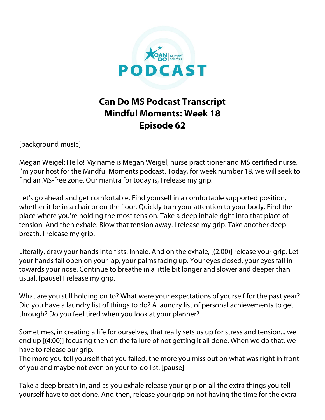

## **Can Do MS Podcast Transcript Mindful Moments: Week 18 Episode 62**

[background music]

Megan Weigel: Hello! My name is Megan Weigel, nurse practitioner and MS certified nurse. I'm your host for the Mindful Moments podcast. Today, for week number 18, we will seek to find an MS-free zone. Our mantra for today is, I release my grip.

Let's go ahead and get comfortable. Find yourself in a comfortable supported position, whether it be in a chair or on the floor. Quickly turn your attention to your body. Find the place where you're holding the most tension. Take a deep inhale right into that place of tension. And then exhale. Blow that tension away. I release my grip. Take another deep breath. I release my grip.

Literally, draw your hands into fists. Inhale. And on the exhale, [(2:00)] release your grip. Let your hands fall open on your lap, your palms facing up. Your eyes closed, your eyes fall in towards your nose. Continue to breathe in a little bit longer and slower and deeper than usual. [pause] I release my grip.

What are you still holding on to? What were your expectations of yourself for the past year? Did you have a laundry list of things to do? A laundry list of personal achievements to get through? Do you feel tired when you look at your planner?

Sometimes, in creating a life for ourselves, that really sets us up for stress and tension... we end up [(4:00)] focusing then on the failure of not getting it all done. When we do that, we have to release our grip.

The more you tell yourself that you failed, the more you miss out on what was right in front of you and maybe not even on your to-do list. [pause]

Take a deep breath in, and as you exhale release your grip on all the extra things you tell yourself have to get done. And then, release your grip on not having the time for the extra